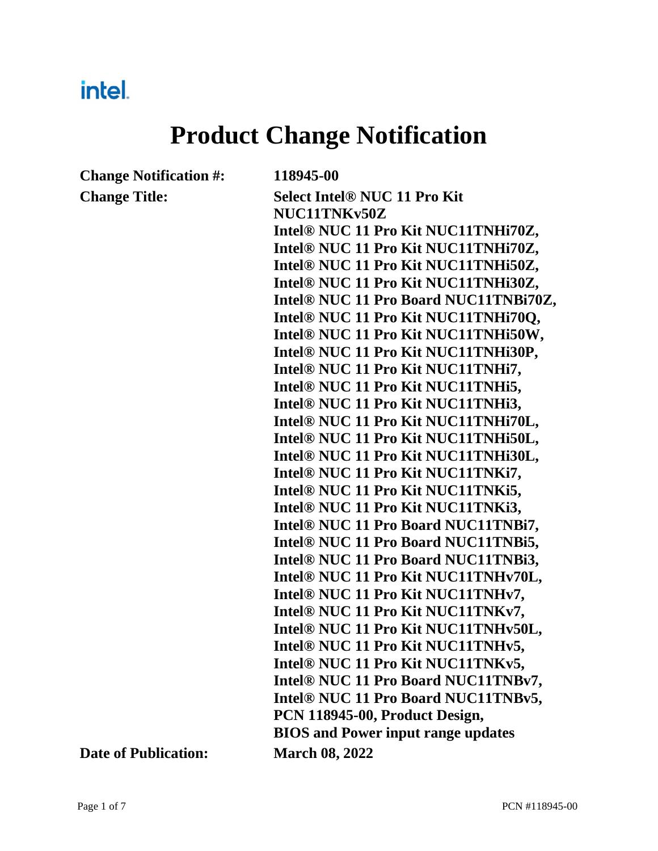## intel.

# **Product Change Notification**

**Change Notification #: 118945-00**

**Change Title: Select Intel® NUC 11 Pro Kit NUC11TNKv50Z Intel® NUC 11 Pro Kit NUC11TNHi70Z, Intel® NUC 11 Pro Kit NUC11TNHi70Z, Intel® NUC 11 Pro Kit NUC11TNHi50Z, Intel® NUC 11 Pro Kit NUC11TNHi30Z, Intel® NUC 11 Pro Board NUC11TNBi70Z, Intel® NUC 11 Pro Kit NUC11TNHi70Q, Intel® NUC 11 Pro Kit NUC11TNHi50W, Intel® NUC 11 Pro Kit NUC11TNHi30P, Intel® NUC 11 Pro Kit NUC11TNHi7, Intel® NUC 11 Pro Kit NUC11TNHi5, Intel® NUC 11 Pro Kit NUC11TNHi3, Intel® NUC 11 Pro Kit NUC11TNHi70L, Intel® NUC 11 Pro Kit NUC11TNHi50L, Intel® NUC 11 Pro Kit NUC11TNHi30L, Intel® NUC 11 Pro Kit NUC11TNKi7, Intel® NUC 11 Pro Kit NUC11TNKi5, Intel® NUC 11 Pro Kit NUC11TNKi3, Intel® NUC 11 Pro Board NUC11TNBi7, Intel® NUC 11 Pro Board NUC11TNBi5, Intel® NUC 11 Pro Board NUC11TNBi3, Intel® NUC 11 Pro Kit NUC11TNHv70L, Intel® NUC 11 Pro Kit NUC11TNHv7, Intel® NUC 11 Pro Kit NUC11TNKv7, Intel® NUC 11 Pro Kit NUC11TNHv50L, Intel® NUC 11 Pro Kit NUC11TNHv5, Intel® NUC 11 Pro Kit NUC11TNKv5, Intel® NUC 11 Pro Board NUC11TNBv7, Intel® NUC 11 Pro Board NUC11TNBv5, PCN 118945-00, Product Design, BIOS and Power input range updates**

**Date of Publication: March 08, 2022**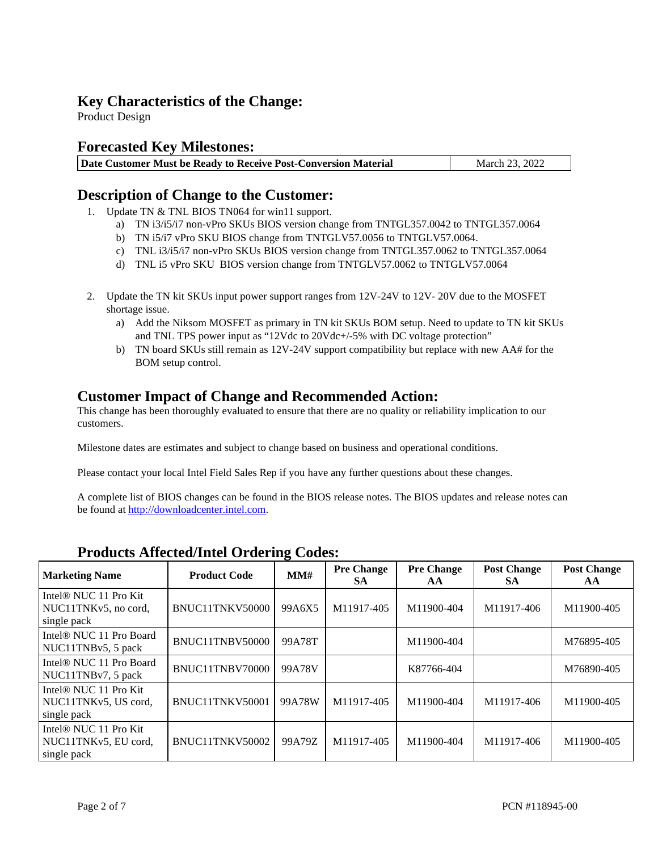#### **Key Characteristics of the Change:**

Product Design

#### **Forecasted Key Milestones:**

| Date Customer Must be Ready to Receive Post-Conversion Material<br>March 23, 2022 |
|-----------------------------------------------------------------------------------|
|-----------------------------------------------------------------------------------|

#### **Description of Change to the Customer:**

- 1. Update TN & TNL BIOS TN064 for win11 support.
	- a) TN i3/i5/i7 non-vPro SKUs BIOS version change from TNTGL357.0042 to TNTGL357.0064
	- b) TN i5/i7 vPro SKU BIOS change from TNTGLV57.0056 to TNTGLV57.0064.
	- c) TNL i3/i5/i7 non-vPro SKUs BIOS version change from TNTGL357.0062 to TNTGL357.0064
	- d) TNL i5 vPro SKU BIOS version change from TNTGLV57.0062 to TNTGLV57.0064
- 2. Update the TN kit SKUs input power support ranges from 12V-24V to 12V- 20V due to the MOSFET shortage issue.
	- a) Add the Niksom MOSFET as primary in TN kit SKUs BOM setup. Need to update to TN kit SKUs and TNL TPS power input as "12Vdc to 20Vdc+/-5% with DC voltage protection"
	- b) TN board SKUs still remain as 12V-24V support compatibility but replace with new AA# for the BOM setup control.

#### **Customer Impact of Change and Recommended Action:**

This change has been thoroughly evaluated to ensure that there are no quality or reliability implication to our customers.

Milestone dates are estimates and subject to change based on business and operational conditions.

Please contact your local Intel Field Sales Rep if you have any further questions about these changes.

A complete list of BIOS changes can be found in the BIOS release notes. The BIOS updates and release notes can be found at http://downloadcenter.intel.com.

| <b>Marketing Name</b>                                                    | <b>Product Code</b> | MMH    | <b>Pre Change</b><br><b>SA</b> | <b>Pre Change</b><br>AA | <b>Post Change</b><br><b>SA</b> | <b>Post Change</b><br>AA |
|--------------------------------------------------------------------------|---------------------|--------|--------------------------------|-------------------------|---------------------------------|--------------------------|
| Intel <sup>®</sup> NUC 11 Pro Kit<br>NUC11TNKv5, no cord,<br>single pack | BNUC11TNKV50000     | 99A6X5 | M11917-405                     | M11900-404              | M11917-406                      | M11900-405               |
| Intel <sup>®</sup> NUC 11 Pro Board<br>NUC11TNBv5, 5 pack                | BNUC11TNBV50000     | 99A78T |                                | M11900-404              |                                 | M76895-405               |
| Intel <sup>®</sup> NUC 11 Pro Board<br>NUC11TNBv7, 5 pack                | BNUC11TNBV70000     | 99A78V |                                | K87766-404              |                                 | M76890-405               |
| Intel <sup>®</sup> NUC 11 Pro Kit<br>NUC11TNKv5, US cord,<br>single pack | BNUC11TNKV50001     | 99A78W | M11917-405                     | M11900-404              | M11917-406                      | M11900-405               |
| Intel <sup>®</sup> NUC 11 Pro Kit<br>NUC11TNKv5, EU cord,<br>single pack | BNUC11TNKV50002     | 99A79Z | M11917-405                     | M11900-404              | M11917-406                      | M11900-405               |

#### **Products Affected/Intel Ordering Codes:**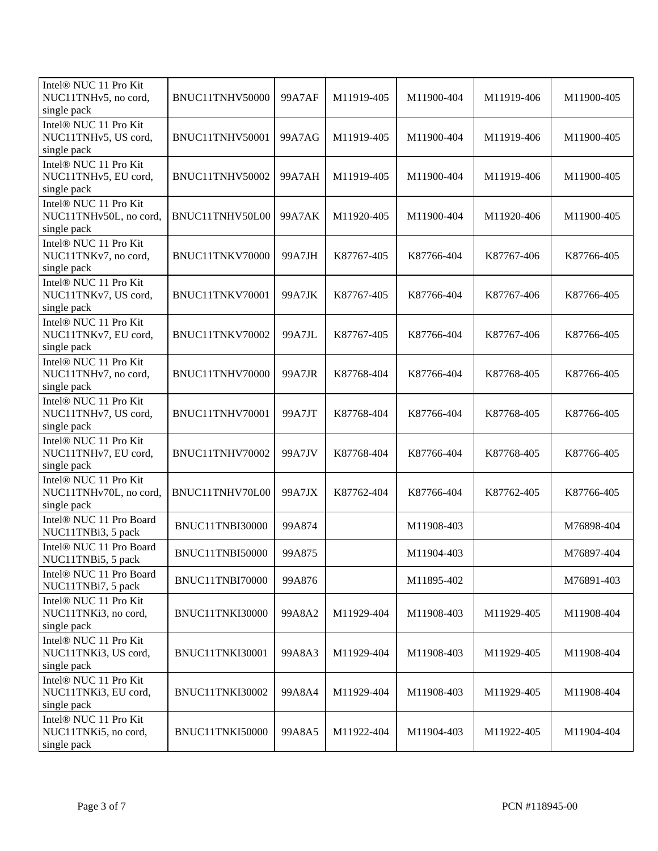| Intel® NUC 11 Pro Kit<br>NUC11TNHv5, no cord,<br>single pack   | BNUC11TNHV50000 | 99A7AF | M11919-405 | M11900-404 | M11919-406 | M11900-405 |
|----------------------------------------------------------------|-----------------|--------|------------|------------|------------|------------|
| Intel® NUC 11 Pro Kit<br>NUC11TNHv5, US cord,<br>single pack   | BNUC11TNHV50001 | 99A7AG | M11919-405 | M11900-404 | M11919-406 | M11900-405 |
| Intel® NUC 11 Pro Kit<br>NUC11TNHv5, EU cord,<br>single pack   | BNUC11TNHV50002 | 99A7AH | M11919-405 | M11900-404 | M11919-406 | M11900-405 |
| Intel® NUC 11 Pro Kit<br>NUC11TNHv50L, no cord,<br>single pack | BNUC11TNHV50L00 | 99A7AK | M11920-405 | M11900-404 | M11920-406 | M11900-405 |
| Intel® NUC 11 Pro Kit<br>NUC11TNKv7, no cord,<br>single pack   | BNUC11TNKV70000 | 99A7JH | K87767-405 | K87766-404 | K87767-406 | K87766-405 |
| Intel® NUC 11 Pro Kit<br>NUC11TNKv7, US cord,<br>single pack   | BNUC11TNKV70001 | 99A7JK | K87767-405 | K87766-404 | K87767-406 | K87766-405 |
| Intel® NUC 11 Pro Kit<br>NUC11TNKv7, EU cord,<br>single pack   | BNUC11TNKV70002 | 99A7JL | K87767-405 | K87766-404 | K87767-406 | K87766-405 |
| Intel® NUC 11 Pro Kit<br>NUC11TNHv7, no cord,<br>single pack   | BNUC11TNHV70000 | 99A7JR | K87768-404 | K87766-404 | K87768-405 | K87766-405 |
| Intel® NUC 11 Pro Kit<br>NUC11TNHv7, US cord,<br>single pack   | BNUC11TNHV70001 | 99A7JT | K87768-404 | K87766-404 | K87768-405 | K87766-405 |
| Intel® NUC 11 Pro Kit<br>NUC11TNHv7, EU cord,<br>single pack   | BNUC11TNHV70002 | 99A7JV | K87768-404 | K87766-404 | K87768-405 | K87766-405 |
| Intel® NUC 11 Pro Kit<br>NUC11TNHv70L, no cord,<br>single pack | BNUC11TNHV70L00 | 99A7JX | K87762-404 | K87766-404 | K87762-405 | K87766-405 |
| Intel <sup>®</sup> NUC 11 Pro Board<br>NUC11TNBi3, 5 pack      | BNUC11TNBI30000 | 99A874 |            | M11908-403 |            | M76898-404 |
| Intel® NUC 11 Pro Board<br>NUC11TNBi5, 5 pack                  | BNUC11TNBI50000 | 99A875 |            | M11904-403 |            | M76897-404 |
| Intel <sup>®</sup> NUC 11 Pro Board<br>NUC11TNBi7, 5 pack      | BNUC11TNBI70000 | 99A876 |            | M11895-402 |            | M76891-403 |
| Intel® NUC 11 Pro Kit<br>NUC11TNKi3, no cord,<br>single pack   | BNUC11TNKI30000 | 99A8A2 | M11929-404 | M11908-403 | M11929-405 | M11908-404 |
| Intel® NUC 11 Pro Kit<br>NUC11TNKi3, US cord,<br>single pack   | BNUC11TNKI30001 | 99A8A3 | M11929-404 | M11908-403 | M11929-405 | M11908-404 |
| Intel® NUC 11 Pro Kit<br>NUC11TNKi3, EU cord,<br>single pack   | BNUC11TNKI30002 | 99A8A4 | M11929-404 | M11908-403 | M11929-405 | M11908-404 |
| Intel® NUC 11 Pro Kit<br>NUC11TNKi5, no cord,<br>single pack   | BNUC11TNKI50000 | 99A8A5 | M11922-404 | M11904-403 | M11922-405 | M11904-404 |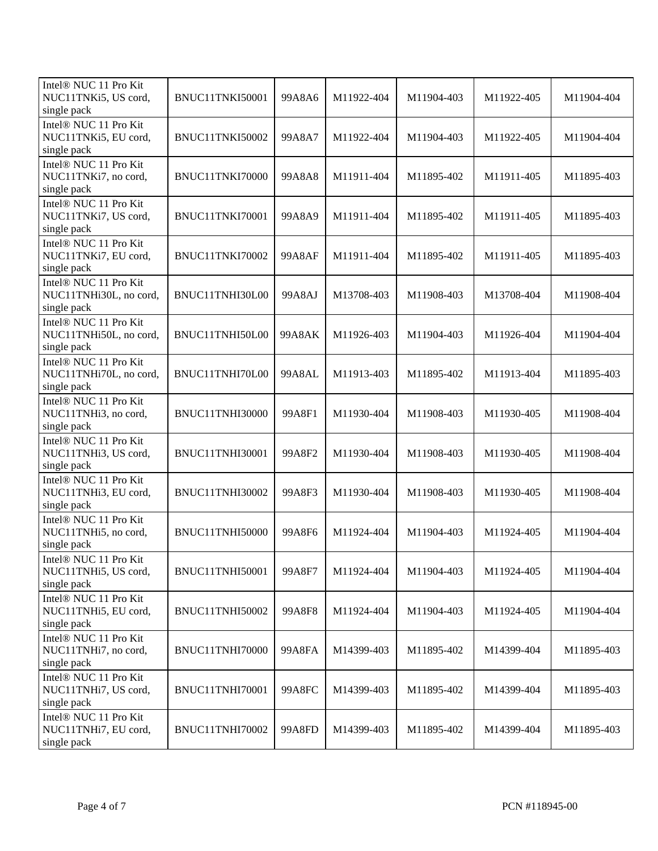| Intel® NUC 11 Pro Kit<br>NUC11TNKi5, US cord,<br>single pack   | BNUC11TNKI50001        | 99A8A6 | M11922-404 | M11904-403 | M11922-405 | M11904-404 |
|----------------------------------------------------------------|------------------------|--------|------------|------------|------------|------------|
| Intel® NUC 11 Pro Kit<br>NUC11TNKi5, EU cord,<br>single pack   | BNUC11TNKI50002        | 99A8A7 | M11922-404 | M11904-403 | M11922-405 | M11904-404 |
| Intel® NUC 11 Pro Kit<br>NUC11TNKi7, no cord,<br>single pack   | BNUC11TNKI70000        | 99A8A8 | M11911-404 | M11895-402 | M11911-405 | M11895-403 |
| Intel® NUC 11 Pro Kit<br>NUC11TNKi7, US cord,<br>single pack   | BNUC11TNKI70001        | 99A8A9 | M11911-404 | M11895-402 | M11911-405 | M11895-403 |
| Intel® NUC 11 Pro Kit<br>NUC11TNKi7, EU cord,<br>single pack   | BNUC11TNKI70002        | 99A8AF | M11911-404 | M11895-402 | M11911-405 | M11895-403 |
| Intel® NUC 11 Pro Kit<br>NUC11TNHi30L, no cord,<br>single pack | BNUC11TNHI30L00        | 99A8AJ | M13708-403 | M11908-403 | M13708-404 | M11908-404 |
| Intel® NUC 11 Pro Kit<br>NUC11TNHi50L, no cord,<br>single pack | BNUC11TNHI50L00        | 99A8AK | M11926-403 | M11904-403 | M11926-404 | M11904-404 |
| Intel® NUC 11 Pro Kit<br>NUC11TNHi70L, no cord,<br>single pack | BNUC11TNHI70L00        | 99A8AL | M11913-403 | M11895-402 | M11913-404 | M11895-403 |
| Intel® NUC 11 Pro Kit<br>NUC11TNHi3, no cord,<br>single pack   | BNUC11TNHI30000        | 99A8F1 | M11930-404 | M11908-403 | M11930-405 | M11908-404 |
| Intel® NUC 11 Pro Kit<br>NUC11TNHi3, US cord,<br>single pack   | BNUC11TNHI30001        | 99A8F2 | M11930-404 | M11908-403 | M11930-405 | M11908-404 |
| Intel® NUC 11 Pro Kit<br>NUC11TNHi3, EU cord,<br>single pack   | BNUC11TNHI30002        | 99A8F3 | M11930-404 | M11908-403 | M11930-405 | M11908-404 |
| Intel® NUC 11 Pro Kit<br>NUC11TNHi5, no cord,<br>single pack   | <b>BNUC11TNHI50000</b> | 99A8F6 | M11924-404 | M11904-403 | M11924-405 | M11904-404 |
| Intel® NUC 11 Pro Kit<br>NUC11TNHi5, US cord,<br>single pack   | BNUC11TNHI50001        | 99A8F7 | M11924-404 | M11904-403 | M11924-405 | M11904-404 |
| Intel® NUC 11 Pro Kit<br>NUC11TNHi5, EU cord,<br>single pack   | BNUC11TNHI50002        | 99A8F8 | M11924-404 | M11904-403 | M11924-405 | M11904-404 |
| Intel® NUC 11 Pro Kit<br>NUC11TNHi7, no cord,<br>single pack   | BNUC11TNHI70000        | 99A8FA | M14399-403 | M11895-402 | M14399-404 | M11895-403 |
| Intel® NUC 11 Pro Kit<br>NUC11TNHi7, US cord,<br>single pack   | BNUC11TNHI70001        | 99A8FC | M14399-403 | M11895-402 | M14399-404 | M11895-403 |
| Intel® NUC 11 Pro Kit<br>NUC11TNHi7, EU cord,<br>single pack   | BNUC11TNHI70002        | 99A8FD | M14399-403 | M11895-402 | M14399-404 | M11895-403 |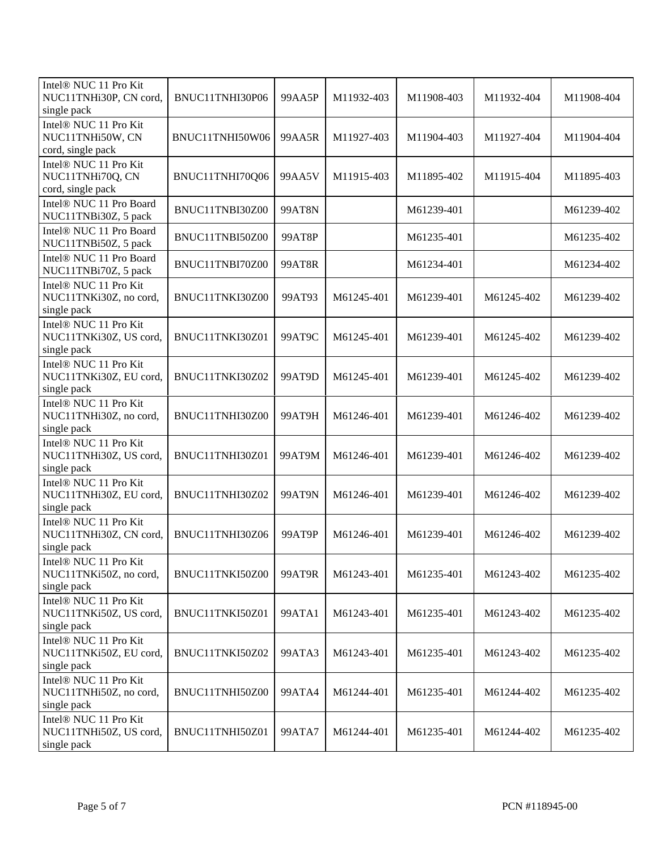| Intel® NUC 11 Pro Kit<br>NUC11TNHi30P, CN cord,<br>single pack             | BNUC11TNHI30P06 | 99AA5P        | M11932-403 | M11908-403 | M11932-404 | M11908-404 |
|----------------------------------------------------------------------------|-----------------|---------------|------------|------------|------------|------------|
| Intel <sup>®</sup> NUC 11 Pro Kit<br>NUC11TNHi50W, CN<br>cord, single pack | BNUC11TNHI50W06 | 99AA5R        | M11927-403 | M11904-403 | M11927-404 | M11904-404 |
| Intel <sup>®</sup> NUC 11 Pro Kit<br>NUC11TNHi70Q, CN<br>cord, single pack | BNUC11TNHI70Q06 | 99AA5V        | M11915-403 | M11895-402 | M11915-404 | M11895-403 |
| Intel <sup>®</sup> NUC 11 Pro Board<br>NUC11TNBi30Z, 5 pack                | BNUC11TNBI30Z00 | <b>99AT8N</b> |            | M61239-401 |            | M61239-402 |
| Intel® NUC 11 Pro Board<br>NUC11TNBi50Z, 5 pack                            | BNUC11TNBI50Z00 | 99AT8P        |            | M61235-401 |            | M61235-402 |
| Intel <sup>®</sup> NUC 11 Pro Board<br>NUC11TNBi70Z, 5 pack                | BNUC11TNBI70Z00 | 99AT8R        |            | M61234-401 |            | M61234-402 |
| Intel® NUC 11 Pro Kit<br>NUC11TNKi30Z, no cord,<br>single pack             | BNUC11TNKI30Z00 | 99AT93        | M61245-401 | M61239-401 | M61245-402 | M61239-402 |
| Intel® NUC 11 Pro Kit<br>NUC11TNKi30Z, US cord,<br>single pack             | BNUC11TNKI30Z01 | 99AT9C        | M61245-401 | M61239-401 | M61245-402 | M61239-402 |
| Intel® NUC 11 Pro Kit<br>NUC11TNKi30Z, EU cord,<br>single pack             | BNUC11TNKI30Z02 | 99AT9D        | M61245-401 | M61239-401 | M61245-402 | M61239-402 |
| Intel® NUC 11 Pro Kit<br>NUC11TNHi30Z, no cord,<br>single pack             | BNUC11TNHI30Z00 | 99AT9H        | M61246-401 | M61239-401 | M61246-402 | M61239-402 |
| Intel® NUC 11 Pro Kit<br>NUC11TNHi30Z, US cord,<br>single pack             | BNUC11TNHI30Z01 | 99AT9M        | M61246-401 | M61239-401 | M61246-402 | M61239-402 |
| Intel® NUC 11 Pro Kit<br>NUC11TNHi30Z, EU cord,<br>single pack             | BNUC11TNHI30Z02 | 99AT9N        | M61246-401 | M61239-401 | M61246-402 | M61239-402 |
| Intel® NUC 11 Pro Kit<br>NUC11TNHi30Z, CN cord,<br>single pack             | BNUC11TNHI30Z06 | 99AT9P        | M61246-401 | M61239-401 | M61246-402 | M61239-402 |
| Intel® NUC 11 Pro Kit<br>NUC11TNKi50Z, no cord,<br>single pack             | BNUC11TNKI50Z00 | 99AT9R        | M61243-401 | M61235-401 | M61243-402 | M61235-402 |
| Intel® NUC 11 Pro Kit<br>NUC11TNKi50Z, US cord,<br>single pack             | BNUC11TNKI50Z01 | 99ATA1        | M61243-401 | M61235-401 | M61243-402 | M61235-402 |
| Intel® NUC 11 Pro Kit<br>NUC11TNKi50Z, EU cord,<br>single pack             | BNUC11TNKI50Z02 | 99ATA3        | M61243-401 | M61235-401 | M61243-402 | M61235-402 |
| Intel® NUC 11 Pro Kit<br>NUC11TNHi50Z, no cord,<br>single pack             | BNUC11TNHI50Z00 | 99ATA4        | M61244-401 | M61235-401 | M61244-402 | M61235-402 |
| Intel® NUC 11 Pro Kit<br>NUC11TNHi50Z, US cord,<br>single pack             | BNUC11TNHI50Z01 | <b>99ATA7</b> | M61244-401 | M61235-401 | M61244-402 | M61235-402 |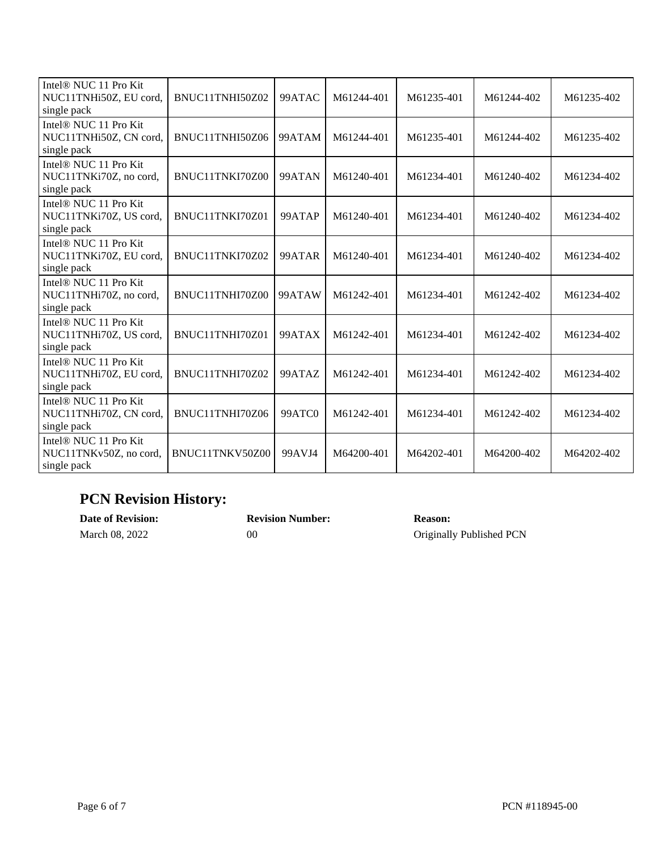| Intel® NUC 11 Pro Kit<br>NUC11TNHi50Z, EU cord,<br>single pack             | BNUC11TNHI50Z02 | 99ATAC | M61244-401 | M61235-401 | M61244-402 | M61235-402 |
|----------------------------------------------------------------------------|-----------------|--------|------------|------------|------------|------------|
| Intel® NUC 11 Pro Kit<br>NUC11TNHi50Z, CN cord,<br>single pack             | BNUC11TNHI50Z06 | 99ATAM | M61244-401 | M61235-401 | M61244-402 | M61235-402 |
| Intel <sup>®</sup> NUC 11 Pro Kit<br>NUC11TNKi70Z, no cord,<br>single pack | BNUC11TNKI70Z00 | 99ATAN | M61240-401 | M61234-401 | M61240-402 | M61234-402 |
| Intel® NUC 11 Pro Kit<br>NUC11TNKi70Z, US cord,<br>single pack             | BNUC11TNKI70Z01 | 99ATAP | M61240-401 | M61234-401 | M61240-402 | M61234-402 |
| Intel <sup>®</sup> NUC 11 Pro Kit<br>NUC11TNKi70Z, EU cord,<br>single pack | BNUC11TNKI70Z02 | 99ATAR | M61240-401 | M61234-401 | M61240-402 | M61234-402 |
| Intel <sup>®</sup> NUC 11 Pro Kit<br>NUC11TNHi70Z, no cord,<br>single pack | BNUC11TNHI70Z00 | 99ATAW | M61242-401 | M61234-401 | M61242-402 | M61234-402 |
| Intel <sup>®</sup> NUC 11 Pro Kit<br>NUC11TNHi70Z, US cord,<br>single pack | BNUC11TNHI70Z01 | 99ATAX | M61242-401 | M61234-401 | M61242-402 | M61234-402 |
| Intel <sup>®</sup> NUC 11 Pro Kit<br>NUC11TNHi70Z, EU cord,<br>single pack | BNUC11TNHI70Z02 | 99ATAZ | M61242-401 | M61234-401 | M61242-402 | M61234-402 |
| Intel® NUC 11 Pro Kit<br>NUC11TNHi70Z, CN cord,<br>single pack             | BNUC11TNHI70Z06 | 99ATC0 | M61242-401 | M61234-401 | M61242-402 | M61234-402 |
| Intel® NUC 11 Pro Kit<br>NUC11TNKv50Z, no cord,<br>single pack             | BNUC11TNKV50Z00 | 99AVJ4 | M64200-401 | M64202-401 | M64200-402 | M64202-402 |

### **PCN Revision History:**

| <b>Date of Revision:</b> | <b>Revision Number:</b> | <b>Reason:</b>           |
|--------------------------|-------------------------|--------------------------|
| March 08, 2022           | 00                      | Originally Published PCN |